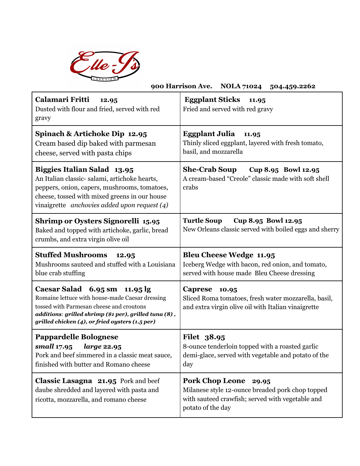

| AKEVIEW<br>900 Harrison Ave. NOLA 71024 504.459.2262                                                                                                                                                                                                |                                                                                                                                                              |
|-----------------------------------------------------------------------------------------------------------------------------------------------------------------------------------------------------------------------------------------------------|--------------------------------------------------------------------------------------------------------------------------------------------------------------|
| Calamari Fritti<br>12.95<br>Dusted with flour and fried, served with red<br>gravy                                                                                                                                                                   | <b>Eggplant Sticks</b><br>11.95<br>Fried and served with red gravy                                                                                           |
| Spinach & Artichoke Dip 12.95<br>Cream based dip baked with parmesan<br>cheese, served with pasta chips                                                                                                                                             | <b>Eggplant Julia</b><br>11.95<br>Thinly sliced eggplant, layered with fresh tomato,<br>basil, and mozzarella                                                |
| <b>Biggies Italian Salad 13.95</b><br>An Italian classic-salami, artichoke hearts,<br>peppers, onion, capers, mushrooms, tomatoes,<br>cheese, tossed with mixed greens in our house<br>vinaigrette anchovies added upon request $(4)$               | <b>She-Crab Soup</b><br>Cup 8.95 Bowl 12.95<br>A cream-based "Creole" classic made with soft shell<br>crabs                                                  |
| Shrimp or Oysters Signorelli 15.95<br>Baked and topped with artichoke, garlic, bread<br>crumbs, and extra virgin olive oil                                                                                                                          | <b>Turtle Soup</b><br>Cup 8.95 Bowl 12.95<br>New Orleans classic served with boiled eggs and sherry                                                          |
| <b>Stuffed Mushrooms</b><br>12.95<br>Mushrooms sauteed and stuffed with a Louisiana<br>blue crab stuffing                                                                                                                                           | <b>Bleu Cheese Wedge 11.95</b><br>Iceberg Wedge with bacon, red onion, and tomato,<br>served with house made Bleu Cheese dressing                            |
| Caesar Salad $6.95 \text{ sm}$ 11.95 lg<br>Romaine lettuce with house-made Caesar dressing<br>tossed with Parmesan cheese and croutons<br>additions: grilled shrimp (\$1 per), grilled tuna (8),<br>grilled chicken (4), or fried oysters (1.5 per) | <b>Caprese</b><br>10.95<br>Sliced Roma tomatoes, fresh water mozzarella, basil,<br>and extra virgin olive oil with Italian vinaigrette                       |
| <b>Pappardelle Bolognese</b><br>small 17.95<br>large 22.95<br>Pork and beef simmered in a classic meat sauce,<br>finished with butter and Romano cheese                                                                                             | Filet 38.95<br>8-ounce tenderloin topped with a roasted garlic<br>demi-glace, served with vegetable and potato of the<br>day                                 |
| Classic Lasagna 21.95 Pork and beef<br>daube shredded and layered with pasta and<br>ricotta, mozzarella, and romano cheese                                                                                                                          | <b>Pork Chop Leone</b><br>29.95<br>Milanese style 12-ounce breaded pork chop topped<br>with sauteed crawfish; served with vegetable and<br>potato of the day |